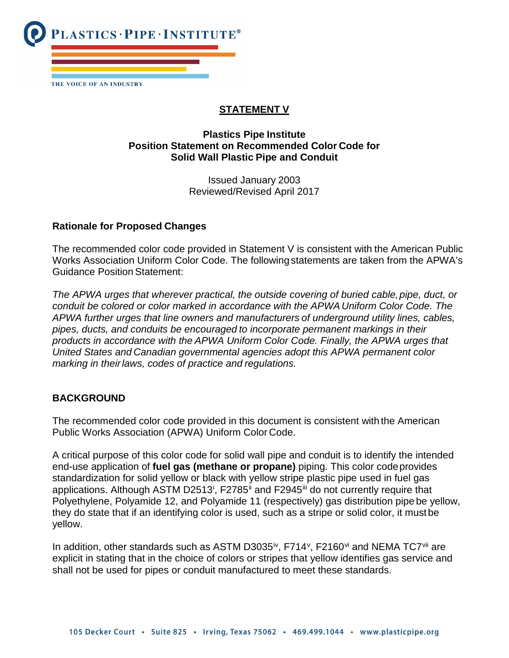

# **STATEMENT V**

### **Plastics Pipe Institute Position Statement on Recommended Color Code for Solid Wall Plastic Pipe and Conduit**

Issued January 2003 Reviewed/Revised April 2017

#### **Rationale for Proposed Changes**

The recommended color code provided in Statement V is consistent with the American Public Works Association Uniform Color Code. The following statements are taken from the APWA's Guidance Position Statement:

The APWA urges that wherever practical, the outside covering of buried cable, pipe, duct, or *conduit be colored or color marked in accordance with the APWA Uniform Color Code. The APWA further urges that line owners and manufacturers of underground utility lines, cables, pipes, ducts, and conduits be encouraged to incorporate permanent markings in their products in accordance with the APWA Uniform Color Code. Finally, the APWA urges that United States and Canadian governmental agencies adopt this APWA permanent color marking in theirlaws, codes of practice and regulations.*

### **BACKGROUND**

The recommended color code provided in this document is consistent with the American Public Works Association (APWA) Uniform Color Code.

A critical purpose of this color code for solid wall pipe and conduit is to identify the intended end-use application of **fuel gas (methane or propane)** piping. This color codeprovides standardization for solid yellow or black with yellow stripe plastic pipe used in fuel gas appl[i](#page-1-0)cations. Although ASTM D2513<sup>i</sup>, F2785<sup>[ii](#page-1-1)</sup> and F2945<sup>[iii](#page-1-2)</sup> do not currently require that Polyethylene, Polyamide 12, and Polyamide 11 (respectively) gas distribution pipe be yellow, they do state that if an identifying color is used, such as a stripe or solid color, it must be yellow.

In addition, other standards such as ASTM D3035<sup>i[v](#page-1-4)</sup>, F714<sup>v</sup>, F2160<sup>vi</sup> and NEMA TC7<sup>[vii](#page-1-6)</sup> are explicit in stating that in the choice of colors or stripes that yellow identifies gas service and shall not be used for pipes or conduit manufactured to meet these standards.